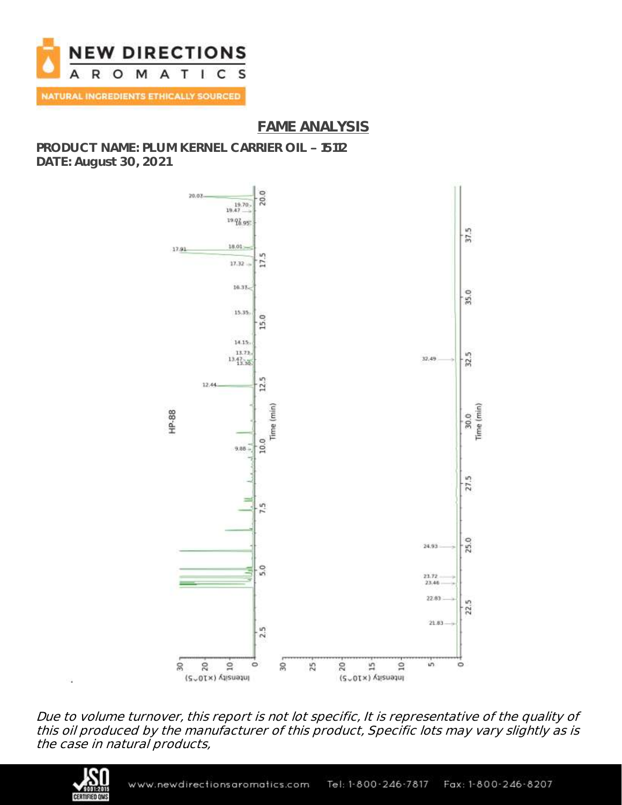

## **FAME ANALYSIS**

**PRODUCT NAME: PLUM KERNEL CARRIER OIL 15112 DATE: August 30, 2021**



Due to volume turnover, this report is not lot specific, It is representative of the quality of this oil produced by the manufacturer of this product, Specific lots may vary slightly as is the case in natural products,